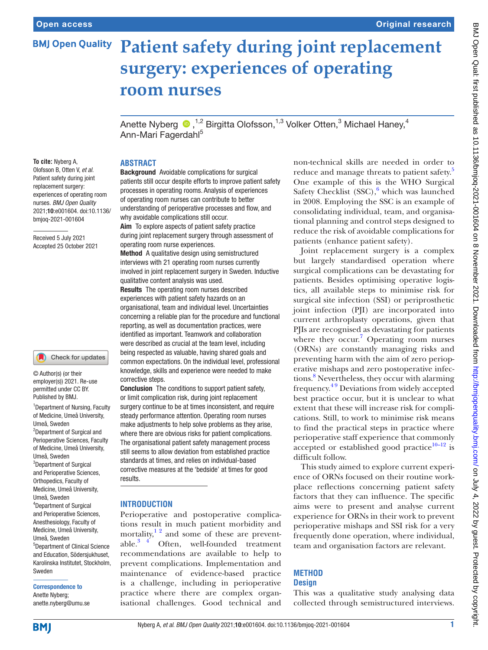# **BMJ Open Quality Patient safety during joint replacement surgery: experiences of operating room nurses**

Anette Nyberg  $\bigcirc$  ,<sup>1,2</sup> Birgitta Olofsson,<sup>1,3</sup> Volker Otten,<sup>3</sup> Michael Haney,<sup>4</sup> Ann-Mari Fagerdahl<sup>5</sup>

# **To cite:** Nyberg A,

Olofsson B, Otten V, *et al*. Patient safety during joint replacement surgery: experiences of operating room nurses. *BMJ Open Quality* 2021;10:e001604. doi:10.1136/ bmjoq-2021-001604

Received 5 July 2021 Accepted 25 October 2021

#### Check for updates

<sup>1</sup> Department of Nursing, Faculty of Medicine, Umeå University, Umeå, Sweden 2 Department of Surgical and Perioperative Sciences, Faculty of Medicine, Umeå University, Umeå, Sweden <sup>3</sup>Department of Surgical and Perioperative Sciences, Orthopedics, Faculty of Medicine, Umeå University, Umeå, Sweden 4 Department of Surgical and Perioperative Sciences, Anesthesiology, Faculty of Medicine, Umeå University, Umeå, Sweden 5 Department of Clinical Science and Education, Södersjukhuset, Karolinska Institutet, Stockholm, Sweden © Author(s) (or their employer(s)) 2021. Re-use permitted under CC BY. Published by BMJ.

Correspondence to Anette Nyberg; anette.nyberg@umu.se

#### **ABSTRACT**

Background Avoidable complications for surgical patients still occur despite efforts to improve patient safety processes in operating rooms. Analysis of experiences of operating room nurses can contribute to better understanding of perioperative processes and flow, and why avoidable complications still occur.

Aim To explore aspects of patient safety practice during joint replacement surgery through assessment of operating room nurse experiences.

Method A qualitative design using semistructured interviews with 21 operating room nurses currently involved in joint replacement surgery in Sweden. Inductive qualitative content analysis was used.

Results The operating room nurses described experiences with patient safety hazards on an organisational, team and individual level. Uncertainties concerning a reliable plan for the procedure and functional reporting, as well as documentation practices, were identified as important. Teamwork and collaboration were described as crucial at the team level, including being respected as valuable, having shared goals and common expectations. On the individual level, professional knowledge, skills and experience were needed to make corrective steps.

Conclusion The conditions to support patient safety, or limit complication risk, during joint replacement surgery continue to be at times inconsistent, and require steady performance attention. Operating room nurses make adjustments to help solve problems as they arise, where there are obvious risks for patient complications. The organisational patient safety management process still seems to allow deviation from established practice standards at times, and relies on individual-based corrective measures at the 'bedside' at times for good results.

#### **INTRODUCTION**

Perioperative and postoperative complications result in much patient morbidity and mortality, $1<sup>2</sup>$  and some of these are preventable. $3\frac{4}{7}$  Often, well-founded treatment recommendations are available to help to prevent complications. Implementation and maintenance of evidence-based practice is a challenge, including in perioperative practice where there are complex organisational challenges. Good technical and

non-technical skills are needed in order to reduce and manage threats to patient safety.<sup>5</sup> One example of this is the WHO Surgical Safety Checklist (SSC),<sup>6</sup> which was launched in 2008. Employing the SSC is an example of consolidating individual, team, and organisational planning and control steps designed to reduce the risk of avoidable complications for patients (enhance patient safety).

Joint replacement surgery is a complex but largely standardised operation where surgical complications can be devastating for patients. Besides optimising operative logistics, all available steps to minimise risk for surgical site infection (SSI) or periprosthetic joint infection (PJI) are incorporated into current arthroplasty operations, given that PJIs are recognised as devastating for patients where they occur.<sup>[7](#page-5-4)</sup> Operating room nurses (ORNs) are constantly managing risks and preventing harm with the aim of zero perioperative mishaps and zero postoperative infections.<sup>8</sup> Nevertheless, they occur with alarming frequency.[4 9](#page-5-6) Deviations from widely accepted best practice occur, but it is unclear to what extent that these will increase risk for complications. Still, to work to minimise risk means to find the practical steps in practice where perioperative staff experience that commonly accepted or established good practice $10-12$  is difficult follow.

This study aimed to explore current experience of ORNs focused on their routine workplace reflections concerning patient safety factors that they can influence. The specific aims were to present and analyse current experience for ORNs in their work to prevent perioperative mishaps and SSI risk for a very frequently done operation, where individual, team and organisation factors are relevant.

#### **METHOD Design**

This was a qualitative study analysing data collected through semistructured interviews.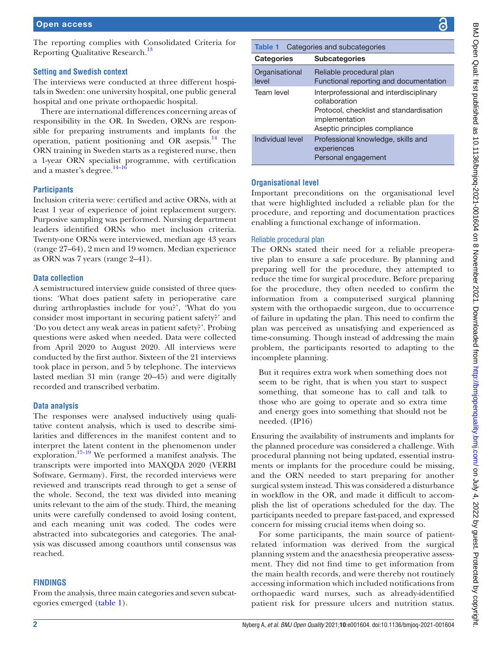The reporting complies with Consolidated Criteria for Reporting Qualitative Research.<sup>13</sup>

# **Setting and Swedish context**

The interviews were conducted at three different hospitals in Sweden: one university hospital, one public general hospital and one private orthopaedic hospital.

There are international differences concerning areas of responsibility in the OR. In Sweden, ORNs are responsible for preparing instruments and implants for the operation, patient positioning and OR asepsis. $^{14}$  The ORN training in Sweden starts as a registered nurse, then a 1-year ORN specialist programme, with certification and a master's degree.<sup>14-16</sup>

## **Participants**

Inclusion criteria were: certified and active ORNs, with at least 1 year of experience of joint replacement surgery. Purposive sampling was performed. Nursing department leaders identified ORNs who met inclusion criteria. Twenty-one ORNs were interviewed, median age 43 years (range 27–64), 2 men and 19 women. Median experience as ORN was 7 years (range 2–41).

## **Data collection**

A semistructured interview guide consisted of three questions: 'What does patient safety in perioperative care during arthroplasties include for you?', 'What do you consider most important in securing patient safety?' and 'Do you detect any weak areas in patient safety?'. Probing questions were asked when needed. Data were collected from April 2020 to August 2020. All interviews were conducted by the first author. Sixteen of the 21 interviews took place in person, and 5 by telephone. The interviews lasted median 31 min (range 20–45) and were digitally recorded and transcribed verbatim.

#### **Data analysis**

The responses were analysed inductively using qualitative content analysis, which is used to describe similarities and differences in the manifest content and to interpret the latent content in the phenomenon under exploration.<sup>[17–19](#page-6-0)</sup> We performed a manifest analysis. The transcripts were imported into MAXQDA 2020 (VERBI Software, Germany). First, the recorded interviews were reviewed and transcripts read through to get a sense of the whole. Second, the text was divided into meaning units relevant to the aim of the study. Third, the meaning units were carefully condensed to avoid losing content, and each meaning unit was coded. The codes were abstracted into subcategories and categories. The analysis was discussed among coauthors until consensus was reached.

# **FINDINGS**

From the analysis, three main categories and seven subcategories emerged ([table](#page-1-0) 1).

<span id="page-1-0"></span>

| Categories and subcategories<br>Table 1 |                                                                                                                                                        |
|-----------------------------------------|--------------------------------------------------------------------------------------------------------------------------------------------------------|
| <b>Categories</b>                       | <b>Subcategories</b>                                                                                                                                   |
| Organisational<br>level                 | Reliable procedural plan<br>Functional reporting and documentation                                                                                     |
| Team level                              | Interprofessional and interdisciplinary<br>collaboration<br>Protocol, checklist and standardisation<br>implementation<br>Aseptic principles compliance |
| Individual level                        | Professional knowledge, skills and<br>experiences<br>Personal engagement                                                                               |

#### **Organisational level**

Important preconditions on the organisational level that were highlighted included a reliable plan for the procedure, and reporting and documentation practices enabling a functional exchange of information.

#### Reliable procedural plan

The ORNs stated their need for a reliable preoperative plan to ensure a safe procedure. By planning and preparing well for the procedure, they attempted to reduce the time for surgical procedure. Before preparing for the procedure, they often needed to confirm the information from a computerised surgical planning system with the orthopaedic surgeon, due to occurrence of failure in updating the plan. This need to confirm the plan was perceived as unsatisfying and experienced as time-consuming. Though instead of addressing the main problem, the participants resorted to adapting to the incomplete planning.

But it requires extra work when something does not seem to be right, that is when you start to suspect something, that someone has to call and talk to those who are going to operate and so extra time and energy goes into something that should not be needed. (IP16)

Ensuring the availability of instruments and implants for the planned procedure was considered a challenge. With procedural planning not being updated, essential instruments or implants for the procedure could be missing, and the ORN needed to start preparing for another surgical system instead. This was considered a disturbance in workflow in the OR, and made it difficult to accomplish the list of operations scheduled for the day. The participants needed to prepare fast-paced, and expressed concern for missing crucial items when doing so.

For some participants, the main source of patientrelated information was derived from the surgical planning system and the anaesthesia preoperative assessment. They did not find time to get information from the main health records, and were thereby not routinely accessing information which included notifications from orthopaedic ward nurses, such as already-identified patient risk for pressure ulcers and nutrition status.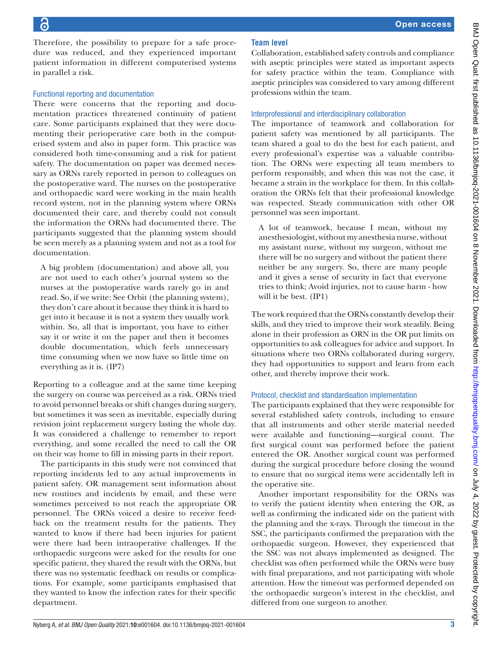in parallel a risk.

Therefore, the possibility to prepare for a safe procedure was reduced, and they experienced important patient information in different computerised systems Functional reporting and documentation There were concerns that the reporting and documentation practices threatened continuity of patient care. Some participants explained that they were documenting their perioperative care both in the computerised system and also in paper form. This practice was

considered both time-consuming and a risk for patient safety. The documentation on paper was deemed necessary as ORNs rarely reported in person to colleagues on the postoperative ward. The nurses on the postoperative and orthopaedic ward were working in the main health record system, not in the planning system where ORNs documented their care, and thereby could not consult the information the ORNs had documented there. The participants suggested that the planning system should be seen merely as a planning system and not as a tool for documentation.

A big problem (documentation) and above all, you are not used to each other's journal system so the nurses at the postoperative wards rarely go in and read. So, if we write: See Orbit (the planning system), they don't care about it because they think it is hard to get into it because it is not a system they usually work within. So, all that is important, you have to either say it or write it on the paper and then it becomes double documentation, which feels unnecessary time consuming when we now have so little time on everything as it is. (IP7)

Reporting to a colleague and at the same time keeping the surgery on course was perceived as a risk. ORNs tried to avoid personnel breaks or shift changes during surgery, but sometimes it was seen as inevitable, especially during revision joint replacement surgery lasting the whole day. It was considered a challenge to remember to report everything, and some recalled the need to call the OR on their way home to fill in missing parts in their report.

The participants in this study were not convinced that reporting incidents led to any actual improvements in patient safety. OR management sent information about new routines and incidents by email, and these were sometimes perceived to not reach the appropriate OR personnel. The ORNs voiced a desire to receive feedback on the treatment results for the patients. They wanted to know if there had been injuries for patient were there had been intraoperative challenges. If the orthopaedic surgeons were asked for the results for one specific patient, they shared the result with the ORNs, but there was no systematic feedback on results or complications. For example, some participants emphasised that they wanted to know the infection rates for their specific department.

# **Team level**

Collaboration, established safety controls and compliance with aseptic principles were stated as important aspects for safety practice within the team. Compliance with aseptic principles was considered to vary among different professions within the team.

#### Interprofessional and interdisciplinary collaboration

The importance of teamwork and collaboration for patient safety was mentioned by all participants. The team shared a goal to do the best for each patient, and every professional's expertise was a valuable contribution. The ORNs were expecting all team members to perform responsibly, and when this was not the case, it became a strain in the workplace for them. In this collaboration the ORNs felt that their professional knowledge was respected. Steady communication with other OR personnel was seen important.

A lot of teamwork, because I mean, without my anesthesiologist, without my anesthesia nurse, without my assistant nurse, without my surgeon, without me there will be no surgery and without the patient there neither be any surgery. So, there are many people and it gives a sense of security in fact that everyone tries to think; Avoid injuries, not to cause harm - how will it be best. (IP1)

The work required that the ORNs constantly develop their skills, and they tried to improve their work steadily. Being alone in their profession as ORN in the OR put limits on opportunities to ask colleagues for advice and support. In situations where two ORNs collaborated during surgery, they had opportunities to support and learn from each other, and thereby improve their work.

# Protocol, checklist and standardisation implementation

The participants explained that they were responsible for several established safety controls, including to ensure that all instruments and other sterile material needed were available and functioning—surgical count. The first surgical count was performed before the patient entered the OR. Another surgical count was performed during the surgical procedure before closing the wound to ensure that no surgical items were accidentally left in the operative site.

Another important responsibility for the ORNs was to verify the patient identity when entering the OR, as well as confirming the indicated side on the patient with the planning and the x-rays. Through the timeout in the SSC, the participants confirmed the preparation with the orthopaedic surgeon. However, they experienced that the SSC was not always implemented as designed. The checklist was often performed while the ORNs were busy with final preparations, and not participating with whole attention. How the timeout was performed depended on the orthopaedic surgeon's interest in the checklist, and differed from one surgeon to another.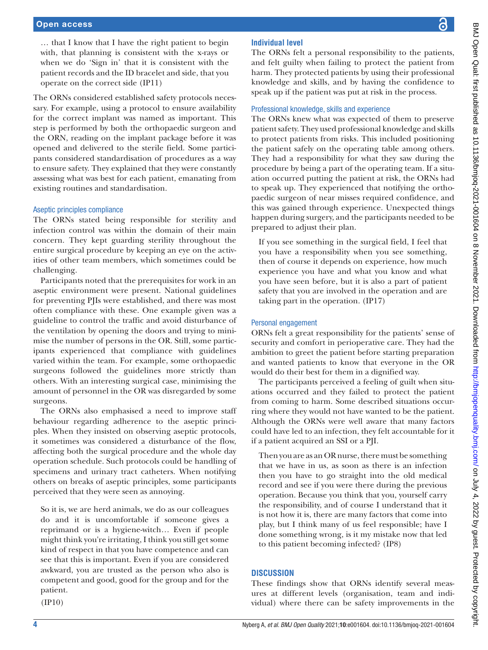… that I know that I have the right patient to begin with, that planning is consistent with the x-rays or when we do 'Sign in' that it is consistent with the patient records and the ID bracelet and side, that you operate on the correct side (IP11)

The ORNs considered established safety protocols necessary. For example, using a protocol to ensure availability for the correct implant was named as important. This step is performed by both the orthopaedic surgeon and the ORN, reading on the implant package before it was opened and delivered to the sterile field. Some participants considered standardisation of procedures as a way to ensure safety. They explained that they were constantly assessing what was best for each patient, emanating from existing routines and standardisation.

#### Aseptic principles compliance

The ORNs stated being responsible for sterility and infection control was within the domain of their main concern. They kept guarding sterility throughout the entire surgical procedure by keeping an eye on the activities of other team members, which sometimes could be challenging.

Participants noted that the prerequisites for work in an aseptic environment were present. National guidelines for preventing PJIs were established, and there was most often compliance with these. One example given was a guideline to control the traffic and avoid disturbance of the ventilation by opening the doors and trying to minimise the number of persons in the OR. Still, some participants experienced that compliance with guidelines varied within the team. For example, some orthopaedic surgeons followed the guidelines more strictly than others. With an interesting surgical case, minimising the amount of personnel in the OR was disregarded by some surgeons.

The ORNs also emphasised a need to improve staff behaviour regarding adherence to the aseptic principles. When they insisted on observing aseptic protocols, it sometimes was considered a disturbance of the flow, affecting both the surgical procedure and the whole day operation schedule. Such protocols could be handling of specimens and urinary tract catheters. When notifying others on breaks of aseptic principles, some participants perceived that they were seen as annoying.

So it is, we are herd animals, we do as our colleagues do and it is uncomfortable if someone gives a reprimand or is a hygiene-witch… Even if people might think you're irritating, I think you still get some kind of respect in that you have competence and can see that this is important. Even if you are considered awkward, you are trusted as the person who also is competent and good, good for the group and for the patient.

(IP10)

# **Individual level**

The ORNs felt a personal responsibility to the patients, and felt guilty when failing to protect the patient from harm. They protected patients by using their professional knowledge and skills, and by having the confidence to speak up if the patient was put at risk in the process.

#### Professional knowledge, skills and experience

The ORNs knew what was expected of them to preserve patient safety. They used professional knowledge and skills to protect patients from risks. This included positioning the patient safely on the operating table among others. They had a responsibility for what they saw during the procedure by being a part of the operating team. If a situation occurred putting the patient at risk, the ORNs had to speak up. They experienced that notifying the orthopaedic surgeon of near misses required confidence, and this was gained through experience. Unexpected things happen during surgery, and the participants needed to be prepared to adjust their plan.

If you see something in the surgical field, I feel that you have a responsibility when you see something, then of course it depends on experience, how much experience you have and what you know and what you have seen before, but it is also a part of patient safety that you are involved in the operation and are taking part in the operation. (IP17)

#### Personal engagement

ORNs felt a great responsibility for the patients' sense of security and comfort in perioperative care. They had the ambition to greet the patient before starting preparation and wanted patients to know that everyone in the OR would do their best for them in a dignified way.

The participants perceived a feeling of guilt when situations occurred and they failed to protect the patient from coming to harm. Some described situations occurring where they would not have wanted to be the patient. Although the ORNs were well aware that many factors could have led to an infection, they felt accountable for it if a patient acquired an SSI or a PJI.

Then you are as an OR nurse, there must be something that we have in us, as soon as there is an infection then you have to go straight into the old medical record and see if you were there during the previous operation. Because you think that you, yourself carry the responsibility, and of course I understand that it is not how it is, there are many factors that come into play, but I think many of us feel responsible; have I done something wrong, is it my mistake now that led to this patient becoming infected? (IP8)

#### **DISCUSSION**

These findings show that ORNs identify several measures at different levels (organisation, team and individual) where there can be safety improvements in the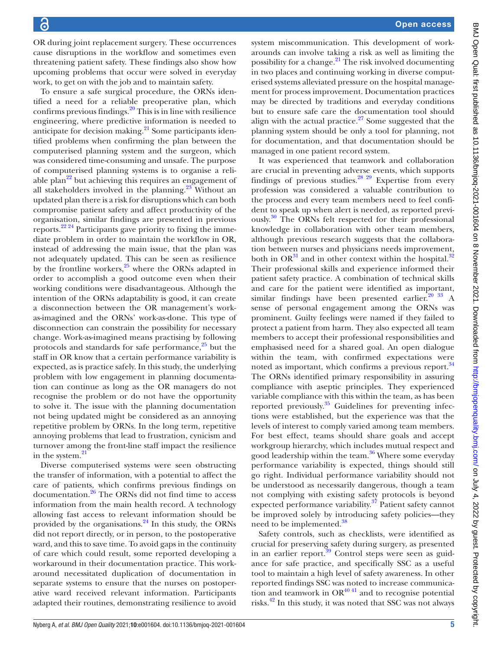OR during joint replacement surgery. These occurrences cause disruptions in the workflow and sometimes even threatening patient safety. These findings also show how upcoming problems that occur were solved in everyday work, to get on with the job and to maintain safety.

To ensure a safe surgical procedure, the ORNs identified a need for a reliable preoperative plan, which confirms previous findings. $20$  This is in line with resilience engineering, where predictive information is needed to anticipate for decision making.<sup>21</sup> Some participants identified problems when confirming the plan between the computerised planning system and the surgeon, which was considered time-consuming and unsafe. The purpose of computerised planning systems is to organise a reliable plan<sup>22</sup> but achieving this requires an engagement of all stakeholders involved in the planning.<sup>23</sup> Without an updated plan there is a risk for disruptions which can both compromise patient safety and affect productivity of the organisation, similar findings are presented in previous reports[.22 24](#page-6-3) Participants gave priority to fixing the immediate problem in order to maintain the workflow in OR, instead of addressing the main issue, that the plan was not adequately updated. This can be seen as resilience by the frontline workers, $25$  where the ORNs adapted in order to accomplish a good outcome even when their working conditions were disadvantageous. Although the intention of the ORNs adaptability is good, it can create a disconnection between the OR management's workas-imagined and the ORNs' work-as-done. This type of disconnection can constrain the possibility for necessary change. Work-as-imagined means practising by following protocols and standards for safe performance, $25$  but the staff in OR know that a certain performance variability is expected, as is practice safely. In this study, the underlying problem with low engagement in planning documentation can continue as long as the OR managers do not recognise the problem or do not have the opportunity to solve it. The issue with the planning documentation not being updated might be considered as an annoying repetitive problem by ORNs. In the long term, repetitive annoying problems that lead to frustration, cynicism and turnover among the front-line staff impact the resilience in the system. $21$ 

Diverse computerised systems were seen obstructing the transfer of information, with a potential to affect the care of patients, which confirms previous findings on documentation[.26](#page-6-6) The ORNs did not find time to access information from the main health record. A technology allowing fast access to relevant information should be provided by the organisations.<sup>[24](#page-6-7)</sup> In this study, the ORNs did not report directly, or in person, to the postoperative ward, and this to save time. To avoid gaps in the continuity of care which could result, some reported developing a workaround in their documentation practice. This workaround necessitated duplication of documentation in separate systems to ensure that the nurses on postoperative ward received relevant information. Participants adapted their routines, demonstrating resilience to avoid

system miscommunication. This development of workarounds can involve taking a risk as well as limiting the possibility for a change. $^{21}$  The risk involved documenting in two places and continuing working in diverse computerised systems alleviated pressure on the hospital management for process improvement. Documentation practices may be directed by traditions and everyday conditions but to ensure safe care the documentation tool should align with the actual practice. $27$  Some suggested that the planning system should be only a tool for planning, not for documentation, and that documentation should be managed in one patient record system.

It was experienced that teamwork and collaboration are crucial in preventing adverse events, which supports findings of previous studies.<sup>28 29</sup> Expertise from every profession was considered a valuable contribution to the process and every team members need to feel confident to speak up when alert is needed, as reported previously.[30](#page-6-10) The ORNs felt respected for their professional knowledge in collaboration with other team members, although previous research suggests that the collaboration between nurses and physicians needs improvement, both in  $OR^{31}$  and in other context within the hospital.<sup>[32](#page-6-12)</sup> Their professional skills and experience informed their patient safety practice. A combination of technical skills and care for the patient were identified as important, similar findings have been presented earlier.<sup>20</sup> 33 A sense of personal engagement among the ORNs was prominent. Guilty feelings were named if they failed to protect a patient from harm. They also expected all team members to accept their professional responsibilities and emphasised need for a shared goal. An open dialogue within the team, with confirmed expectations were noted as important, which confirms a previous report.<sup>[34](#page-6-13)</sup> The ORNs identified primary responsibility in assuring compliance with aseptic principles. They experienced variable compliance with this within the team, as has been reported previously. $35$  Guidelines for preventing infections were established, but the experience was that the levels of interest to comply varied among team members. For best effect, teams should share goals and accept workgroup hierarchy, which includes mutual respect and good leadership within the team.<sup>36</sup> Where some everyday performance variability is expected, things should still go right. Individual performance variability should not be understood as necessarily dangerous, though a team not complying with existing safety protocols is beyond expected performance variability.<sup>[37](#page-6-16)</sup> Patient safety cannot be improved solely by introducing safety policies—they need to be implemented.<sup>38</sup>

Safety controls, such as checklists, were identified as crucial for preserving safety during surgery, as presented in an earlier report.<sup>[39](#page-6-18)</sup> Control steps were seen as guidance for safe practice, and specifically SSC as a useful tool to maintain a high level of safety awareness. In other reported findings SSC was noted to increase communication and teamwork in  $OR<sup>40 41</sup>$  and to recognise potential risks.[42](#page-6-20) In this study, it was noted that SSC was not always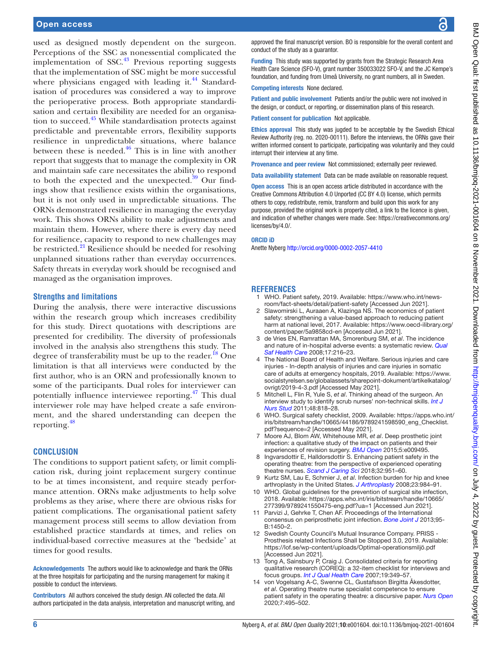used as designed mostly dependent on the surgeon. Perceptions of the SSC as nonessential complicated the implementation of  $SSC<sup>43</sup>$  Previous reporting suggests that the implementation of SSC might be more successful where physicians engaged with leading it. $^{44}$  $^{44}$  $^{44}$  Standardisation of procedures was considered a way to improve the perioperative process. Both appropriate standardisation and certain flexibility are needed for an organisa-tion to succeed.<sup>[45](#page-6-23)</sup> While standardisation protects against predictable and preventable errors, flexibility supports resilience in unpredictable situations, where balance between these is needed. $46$  This is in line with another report that suggests that to manage the complexity in OR and maintain safe care necessitates the ability to respond to both the expected and the unexpected. $39$  Our findings show that resilience exists within the organisations, but it is not only used in unpredictable situations. The ORNs demonstrated resilience in managing the everyday work. This shows ORNs ability to make adjustments and maintain them. However, where there is every day need for resilience, capacity to respond to new challenges may be restricted.<sup>[21](#page-6-2)</sup> Resilience should be needed for resolving unplanned situations rather than everyday occurrences. Safety threats in everyday work should be recognised and managed as the organisation improves.

#### **Strengths and limitations**

During the analysis, there were interactive discussions within the research group which increases credibility for this study. Direct quotations with descriptions are presented for credibility. The diversity of professionals involved in the analysis also strengthens this study. The degree of transferability must be up to the reader.<sup>[18](#page-6-25)</sup> One limitation is that all interviews were conducted by the first author, who is an ORN and professionally known to some of the participants. Dual roles for interviewer can potentially influence interviewee reporting.<sup>47</sup> This dual interviewer role may have helped create a safe environment, and the shared understanding can deepen the reporting.[48](#page-6-27)

#### **CONCLUSION**

The conditions to support patient safety, or limit complication risk, during joint replacement surgery continue to be at times inconsistent, and require steady performance attention. ORNs make adjustments to help solve problems as they arise, where there are obvious risks for patient complications. The organisational patient safety management process still seems to allow deviation from established practice standards at times, and relies on individual-based corrective measures at the 'bedside' at times for good results.

Acknowledgements The authors would like to acknowledge and thank the ORNs at the three hospitals for participating and the nursing management for making it possible to conduct the interviews.

Contributors All authors conceived the study design. AN collected the data. All authors participated in the data analysis, interpretation and manuscript writing, and approved the final manuscript version. BO is responsible for the overall content and conduct of the study as a guarantor.

Funding This study was supported by grants from the Strategic Research Area Health Care Science (SFO-V), grant number 350033022 SFO-V, and the JC Kempe's foundation, and funding from Umeå University, no grant numbers, all in Sweden.

Competing interests None declared.

Patient and public involvement Patients and/or the public were not involved in the design, or conduct, or reporting, or dissemination plans of this research.

Patient consent for publication Not applicable.

Ethics approval This study was jugded to be acceptable by the Swedish Ethical Review Authority (reg. no. 2020-00111). Before the interviews, the ORNs gave their written informed consent to participate, participating was voluntarily and they could interrupt their interview at any time.

Provenance and peer review Not commissioned; externally peer reviewed.

Data availability statement Data can be made available on reasonable request.

Open access This is an open access article distributed in accordance with the Creative Commons Attribution 4.0 Unported (CC BY 4.0) license, which permits others to copy, redistribute, remix, transform and build upon this work for any purpose, provided the original work is properly cited, a link to the licence is given, and indication of whether changes were made. See: [https://creativecommons.org/](https://creativecommons.org/licenses/by/4.0/) [licenses/by/4.0/](https://creativecommons.org/licenses/by/4.0/).

#### ORCID iD

Anette Nyberg <http://orcid.org/0000-0002-2057-4410>

#### <span id="page-5-0"></span>**REFERENCES**

- 1 WHO. Patient safety, 2019. Available: [https://www.who.int/news](https://www.who.int/news-room/fact-sheets/detail/patient-safety)[room/fact-sheets/detail/patient-safety](https://www.who.int/news-room/fact-sheets/detail/patient-safety) [Accessed Jun 2021].
- 2 Slawomirski L, Auraaen A, Klazinga NS. The economics of patient safety: strengthening a value-based approach to reducing patient harm at national level, 2017. Available: [https://www.oecd-ilibrary.org/](https://www.oecd-ilibrary.org/content/paper/5a9858cd-en) [content/paper/5a9858cd-en](https://www.oecd-ilibrary.org/content/paper/5a9858cd-en) [Accessed Jun 2021].
- <span id="page-5-1"></span>3 de Vries EN, Ramrattan MA, Smorenburg SM, *et al*. The incidence and nature of in-hospital adverse events: a systematic review. *[Qual](http://dx.doi.org/10.1136/qshc.2007.023622)  [Saf Health Care](http://dx.doi.org/10.1136/qshc.2007.023622)* 2008;17:216–23.
- <span id="page-5-6"></span>4 The National Board of Health and Welfare. Serious injuries and care injuries - In-depth analysis of injuries and care injuries in somatic care of adults at emergency hospitals, 2019. Available: [https://www.](https://www.socialstyrelsen.se/globalassets/sharepoint-dokument/artikelkatalog/ovrigt/2019-4-3.pdf) [socialstyrelsen.se/globalassets/sharepoint-dokument/artikelkatalog/](https://www.socialstyrelsen.se/globalassets/sharepoint-dokument/artikelkatalog/ovrigt/2019-4-3.pdf) [ovrigt/2019-4-3.pdf](https://www.socialstyrelsen.se/globalassets/sharepoint-dokument/artikelkatalog/ovrigt/2019-4-3.pdf) [Accessed May 2021].
- <span id="page-5-2"></span>5 Mitchell L, Flin R, Yule S, *et al*. Thinking ahead of the surgeon. An interview study to identify scrub nurses' non-technical skills. *[Int J](http://dx.doi.org/10.1016/j.ijnurstu.2010.11.005)  [Nurs Stud](http://dx.doi.org/10.1016/j.ijnurstu.2010.11.005)* 2011;48:818–28.
- <span id="page-5-3"></span>6 WHO. Surgical safety checklist, 2009. Available: [https://apps.who.int/](https://apps.who.int/iris/bitstream/handle/10665/44186/9789241598590_eng_Checklist.pdf?sequence=2) [iris/bitstream/handle/10665/44186/9789241598590\\_eng\\_Checklist.](https://apps.who.int/iris/bitstream/handle/10665/44186/9789241598590_eng_Checklist.pdf?sequence=2) [pdf?sequence=2](https://apps.who.int/iris/bitstream/handle/10665/44186/9789241598590_eng_Checklist.pdf?sequence=2) [Accessed May 2021].
- <span id="page-5-4"></span>7 Moore AJ, Blom AW, Whitehouse MR, *et al*. Deep prosthetic joint infection: a qualitative study of the impact on patients and their experiences of revision surgery. *[BMJ Open](http://dx.doi.org/10.1136/bmjopen-2015-009495)* 2015;5:e009495.
- <span id="page-5-5"></span>Ingvarsdottir E, Halldorsdottir S. Enhancing patient safety in the operating theatre: from the perspective of experienced operating theatre nurses. *[Scand J Caring Sci](http://dx.doi.org/10.1111/scs.12532)* 2018;32:951–60.
- 9 Kurtz SM, Lau E, Schmier J, *et al*. Infection burden for hip and knee arthroplasty in the United States. *[J Arthroplasty](http://dx.doi.org/10.1016/j.arth.2007.10.017)* 2008;23:984–91.
- <span id="page-5-7"></span>WHO. Global guidelines for the prevention of surgical site infection, 2018. Available: [https://apps.who.int/iris/bitstream/handle/10665/](https://apps.who.int/iris/bitstream/handle/10665/277399/9789241550475-eng.pdf?ua=1) [277399/9789241550475-eng.pdf?ua=1](https://apps.who.int/iris/bitstream/handle/10665/277399/9789241550475-eng.pdf?ua=1) [Accessed Jun 2021].
- 11 Parvizi J, Gehrke T, Chen AF. Proceedings of the International consensus on periprosthetic joint infection. *[Bone Joint J](http://dx.doi.org/10.1302/0301-620X.95B11.33135)* 2013;95- B:1450–2.
- 12 Swedish County Council's Mutual Insurance Company. PRISS Prosthesis related Infections Shall be Stopped 3.0, 2019. Available: <https://lof.se/wp-content/uploads/Optimal-operationsmiljö.pdf> [Accessed Jun 2021].
- <span id="page-5-8"></span>13 Tong A, Sainsbury P, Craig J. Consolidated criteria for reporting qualitative research (COREQ): a 32-item checklist for interviews and focus groups. *[Int J Qual Health Care](http://dx.doi.org/10.1093/intqhc/mzm042)* 2007;19:349–57.
- <span id="page-5-9"></span>14 von Vogelsang A-C, Swenne CL, Gustafsson Birgitta Åkesdotter, *et al*. Operating theatre nurse specialist competence to ensure patient safety in the operating theatre: a discursive paper. *[Nurs Open](http://dx.doi.org/10.1002/nop2.424)* 2020;7:495–502.